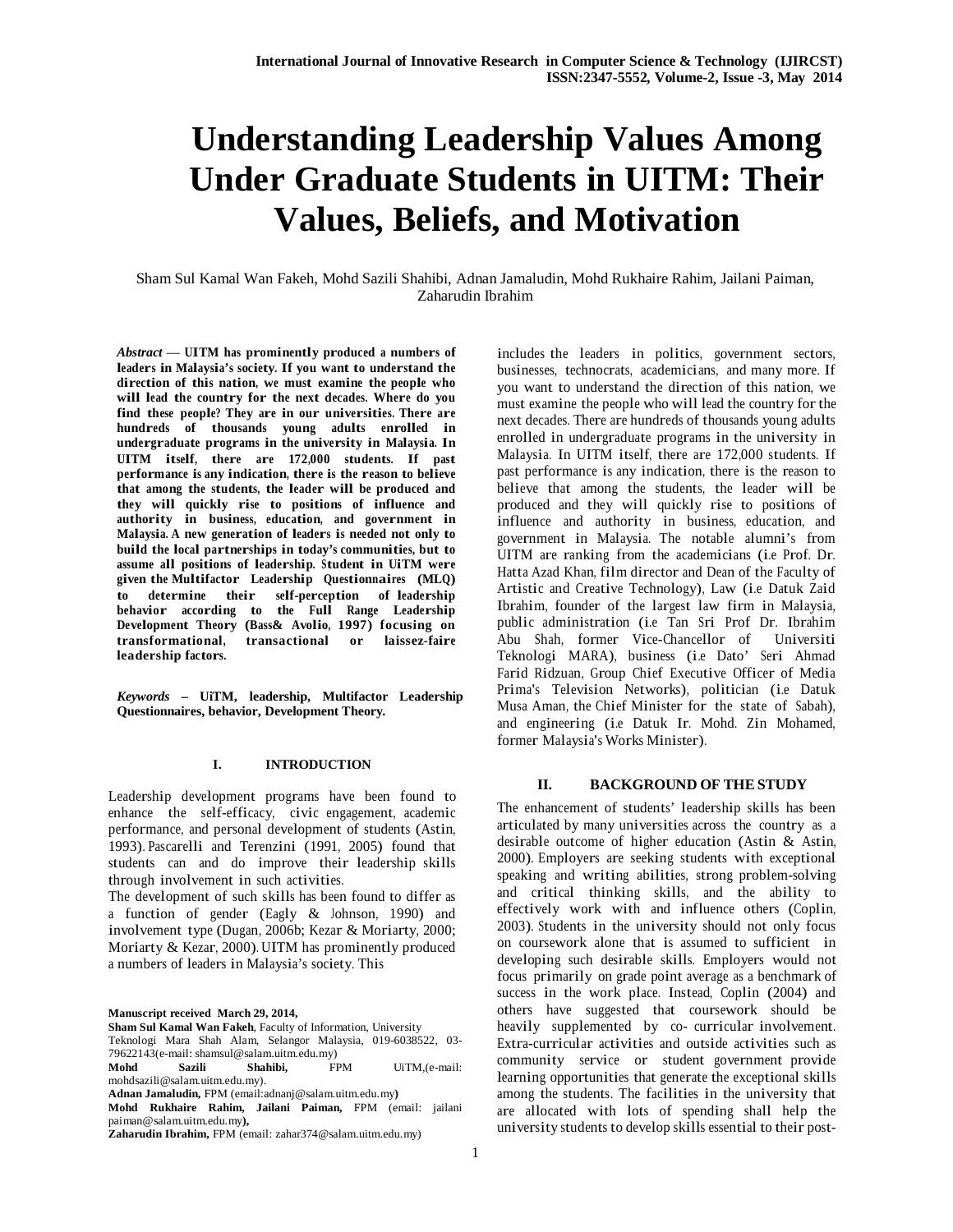# **Understanding Leadership Values Among Under Graduate Students in UITM: Their Values, Beliefs, and Motivation**

Sham Sul Kamal Wan Fakeh, Mohd Sazili Shahibi, Adnan Jamaludin, Mohd Rukhaire Rahim, Jailani Paiman, Zaharudin Ibrahim

*Abstract* — **UITM has prominently produced <sup>a</sup> numbers of leaders in Malaysia's society. If you want to understand the direction of this nation, we must examine the people who will lead the country for the next decades. Where do you find these people? They are in our universities. There are hundreds of thousands young adults enrolled in undergraduate programs in the university in Malaysia. In UITM itself, there are 172,000 students. If past performance is any indication, there is the reason to believe that among the students, the leader will be produced and they will quickly rise to positions of influence and authority in business, education, and government in Malaysia. A new generation of leaders is needed not only to build the local partnerships in today's communities, but to assume all positions of leadership. Student in UiTM were given the Multifactor Leadership Questionnaires (MLQ) to determine their self-perception of leadership behavior according to the Full Range Leadership Development Theory (Bass& Avolio, 1997) focusing on transformational, transactional or laissez-faire leadership factors.**

*Keywords* **– UiTM, leadership, Multifactor Leadership Questionnaires, behavior, Development Theory.**

#### **I. INTRODUCTION**

Leadership development programs have been found to enhance the self-efficacy, civic engagement, academic performance, and personal development of students (Astin, 1993). Pascarelli and Terenzini (1991, 2005) found that students can and do improve their leadership skills through involvement in such activities.

The development of such skills has been found to differ as <sup>a</sup> function of gender (Eagly & Johnson, 1990) and involvement type (Dugan, 2006b; Kezar & Moriarty, 2000; Moriarty & Kezar, 2000). UITM has prominently produced <sup>a</sup> numbers of leaders in Malaysia's society. This

**Manuscript received March 29, 2014,**

**Sham Sul Kamal Wan Fakeh**, Faculty of Information, University Teknologi Mara Shah Alam, Selangor Malaysia, 019-6038522, 03- 79622143(e-mail: shamsul@salam.uitm.edu.my)<br> **Mohd Sazili Shahibi,** FPM

**Mohd Sazili Shahibi,** FPM UiTM,(e-mail: mohdsazili@salam.uitm.edu.my).

**Adnan Jamaludin,** FPM (email:adnanj@salam.uitm.edu.my**)** 

**Mohd Rukhaire Rahim, Jailani Paiman,** FPM (email: jailani paiman@salam.uitm.edu.my**),** 

**Zaharudin Ibrahim,** FPM (email: zahar374@salam.uitm.edu.my)

includes the leaders in politics, government sectors, businesses, technocrats, academicians, and many more. If you want to understand the direction of this nation, we must examine the people who will lead the country forthe next decades. There are hundreds of thousands young adults enrolled in undergraduate programs in the university in Malaysia. In UITM itself, there are 172,000 students. If past performance is any indication, there is the reason to believe that among the students, the leader will be produced and they will quickly rise to positions of influence and authority in business, education, and government in Malaysia. The notable alumni's from UITM are ranking from the academicians (i.e Prof. Dr. Hatta Azad Khan, film director and Dean of the Faculty of Artistic and Creative Technology), Law (i.e Datuk Zaid Ibrahim, founder of the largest law firm in Malaysia, public administration (i.e Tan Sri Prof Dr. Ibrahim Abu Shah, former Vice-Chancellor of Universiti Teknologi MARA), business (i.e Dato' Seri Ahmad Farid Ridzuan, Group Chief Executive Officer of Media Prima's Television Networks), politician (i.e Datuk Musa Aman, the Chief Minister for the state of Sabah), and engineering (i.e Datuk Ir. Mohd. Zin Mohamed, former Malaysia's Works Minister).

#### **II. BACKGROUND OF THE STUDY**

The enhancement of students' leadership skills has been articulated by many universities across the country as <sup>a</sup> desirable outcome of higher education (Astin & Astin, 2000). Employers are seeking students with exceptional speaking and writing abilities, strong problem-solving and critical thinking skills, and the ability to effectively work with and influence others (Coplin, 2003). Students in the university should not only focus on coursework alone that is assumed to sufficient in developing such desirable skills. Employers would not focus primarily on grade point average as <sup>a</sup> benchmark of success in the work place. Instead, Coplin (2004) and others have suggested that coursework should be heavily supplemented by co- curricular involvement. Extra-curricular activities and outside activities such as community service or student government provide learning opportunities that generate the exceptional skills among the students. The facilities in the university that are allocated with lots of spending shall help the university students to develop skills essential to their post-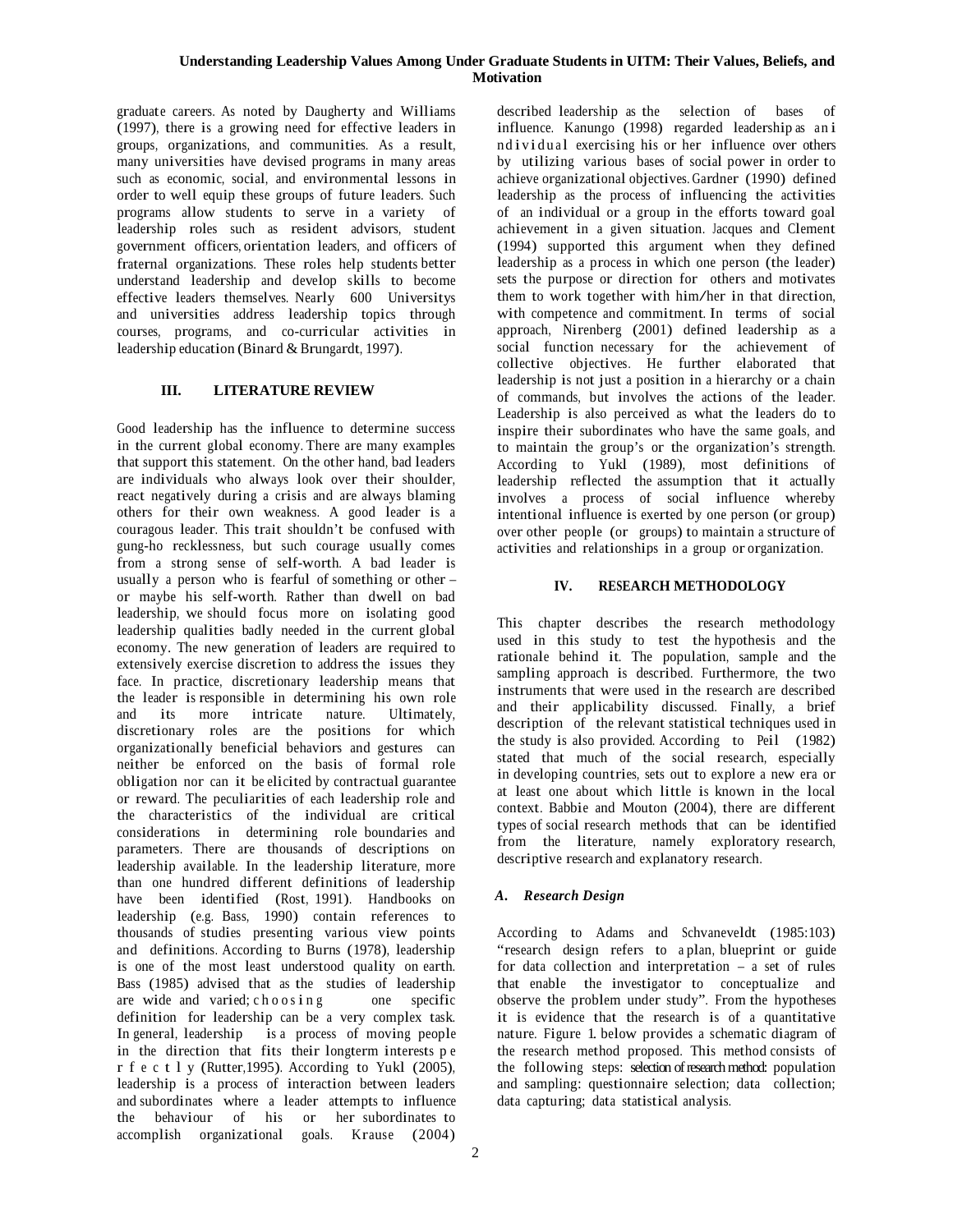#### **Understanding Leadership Values Among Under Graduate Students in UITM: Their Values, Beliefs, and Motivation**

graduate careers. As noted by Daugherty and Williams (1997), there is <sup>a</sup> growing need for effective leaders in groups, organizations, and communities. As <sup>a</sup> result, many universities have devised programs in many areas such as economic, social, and environmental lessons in order to well equip these groups of future leaders. Such programs allow students to serve in a variety of leadership roles such as resident advisors, student government officers, orientation leaders, and officers of fraternal organizations. These roles help students better understand leadership and develop skills to become effective leaders themselves. Nearly 600 Universitys and universities address leadership topics through courses, programs, and co-curricular activities in leadership education (Binard & Brungardt, 1997).

## **III. LITERATURE REVIEW**

Good leadership has the influence to determine success in the current global economy. There are many examples that support this statement. On the other hand, bad leaders are individuals who always look over their shoulder, react negatively during <sup>a</sup> crisis and are always blaming others for their own weakness. A good leader is <sup>a</sup> couragous leader. This trait shouldn't be confused with gung-ho recklessness, but such courage usually comes from <sup>a</sup> strong sense of self-worth. A bad leader is usually <sup>a</sup> person who is fearful of something or other – or maybe his self-worth. Rather than dwell on bad leadership, we should focus more on isolating good leadership qualities badly needed in the current global economy. The new generation of leaders are required to extensively exercise discretion to address the issues they face. In practice, discretionary leadership means that the leader is responsible in determining his own role and its more intricate nature. Ultimately, discretionary roles are the positions for which organizationally beneficial behaviors and gestures can neither be enforced on the basis of formal role obligation nor can it be elicited by contractual guarantee or reward. The peculiarities of each leadership role and the characteristics of the individual are critical considerations in determining role boundaries and parameters. There are thousands of descriptions on leadership available. In the leadership literature, more than one hundred different definitions of leadership have been identified (Rost, 1991). Handbooks on leadership (e.g. Bass, 1990) contain references to thousands of studies presenting various view points and definitions. According to Burns (1978), leadership is one of the most least understood quality on earth. Bass (1985) advised that as the studies of leadership are wide and varied;  $c \, h \, o \, o \, s \, i \, n \, g$ definition for leadership can be <sup>a</sup> very complex task. In general, leadership is a process of moving people in the direction that fits their longterm interests p <sup>e</sup> r f e c t l y (Rutter, 1995). According to Yukl  $(2005)$ , leadership is <sup>a</sup> process of interaction between leaders and subordinates where a leader attempts to influence the behaviour of his or her subordinates to accomplish organizational goals. Krause (2004)

described leadership as the selection of bases of influence. Kanungo (1998) regarded leadership as an i nd i vidual exercising his or her influence over others by utilizing various bases of social power in order to achieve organizational objectives. Gardner (1990) defined leadership as the process of influencing the activities of an individual or <sup>a</sup> group in the efforts toward goal achievement in <sup>a</sup> given situation. Jacques and Clement (1994) supported this argument when they defined leadership as <sup>a</sup> process in which one person (the leader) sets the purpose or direction for others and motivates them to work together with him/her in that direction, with competence and commitment. In terms of social approach, Nirenberg (2001) defined leadership as <sup>a</sup> social function necessary for the achievement of collective objectives. He further elaborated that leadership is not just <sup>a</sup> position in <sup>a</sup> hierarchy or <sup>a</sup> chain of commands, but involves the actions of the leader. Leadership is also perceived as what the leaders do to inspire their subordinates who have the same goals, and to maintain the group's or the organization's strength. According to Yukl (1989), most definitions of leadership reflected the assumption that it actually involves <sup>a</sup> process of social influence whereby intentional influence is exerted by one person (or group) over other people (or groups) to maintain a structure of activities and relationships in <sup>a</sup> group or organization.

## **IV. RESEARCH METHODOLOGY**

This chapter describes the research methodology used in this study to test the hypothesis and the rationale behind it. The population, sample and the sampling approach is described. Furthermore, the two instruments that were used in the research are described and their applicability discussed. Finally, <sup>a</sup> brief description of the relevant statistical techniques used in the study is also provided. According to Peil (1982) stated that much of the social research, especially in developing countries, sets out to explore <sup>a</sup> new era or at least one about which little is known in the local context. Babbie and Mouton (2004), there are different types of social research methods that can be identified from the literature, namely exploratory research, descriptive research and explanatory research.

# *A. Research Design*

According to Adams and Schvaneveldt (1985:103) "research design refers to a plan, blueprint or guide for data collection and interpretation – <sup>a</sup> set of rules that enable the investigator to conceptualize and observe the problem under study". From the hypotheses it is evidence that the research is of <sup>a</sup> quantitative nature. Figure 1. below provides <sup>a</sup> schematic diagram of the research method proposed. This method consists of the following steps: selection of research method: population and sampling: questionnaire selection; data collection; data capturing; data statistical analysis.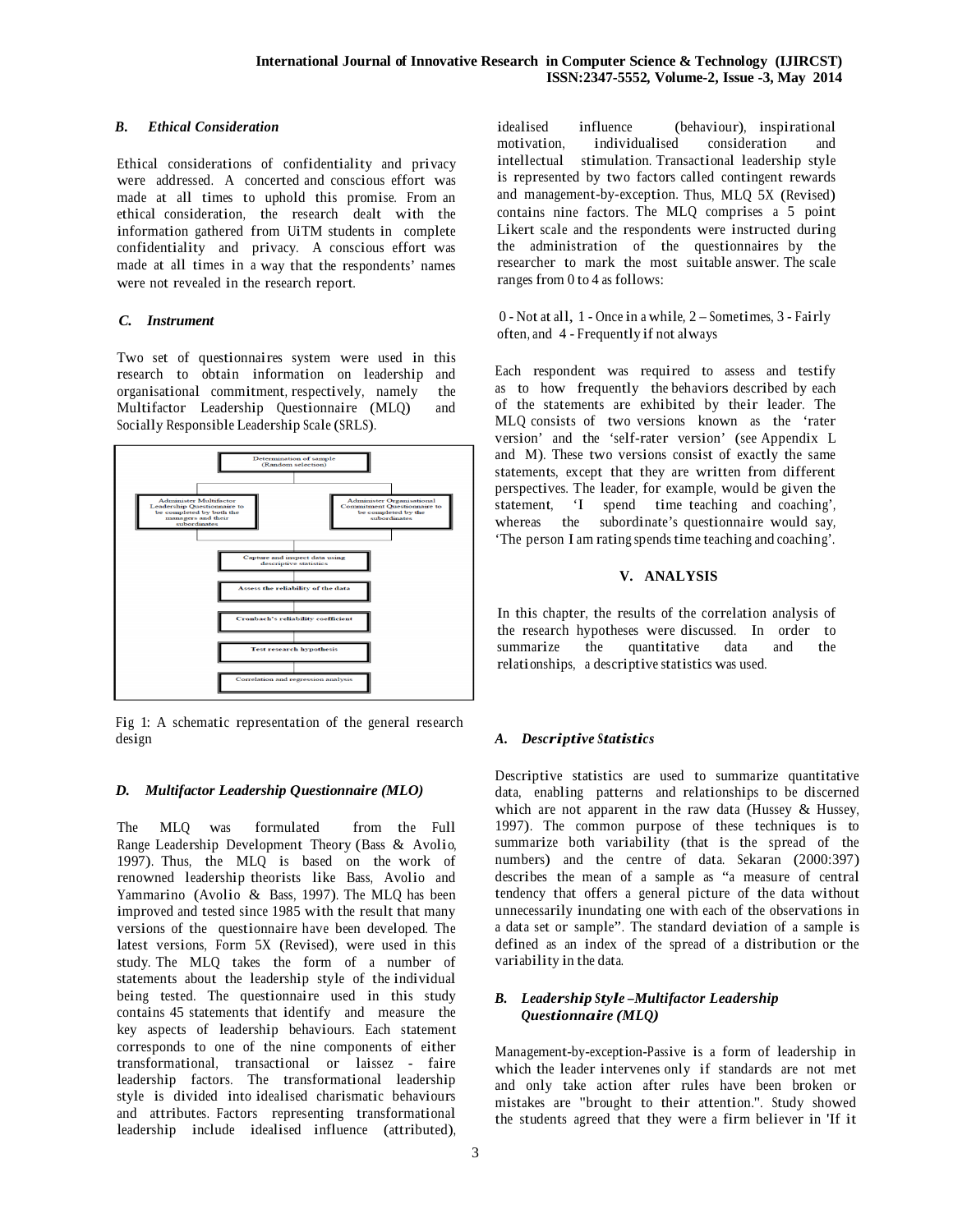## *B. Ethical Consideration*

Ethical considerations of confidentiality and privacy were addressed. A concerted and conscious effort was made at all times to uphold this promise. From an ethical consideration, the research dealt with the information gathered from UiTM students in complete confidentiality and privacy. A conscious effort was made at all times in a way that the respondents' names were not revealed in the research report.

# *C. Instrument*

Two set of questionnaires system were used in this research to obtain information on leadership and organisational commitment, respectively, namely the<br>Multifactor Leadership Ouestionnaire (MLO) and Multifactor Leadership Questionnaire (MLQ) Socially Responsible Leadership Scale (SRLS).



Fig 1: A schematic representation of the general research design

## *D. Multifactor Leadership Questionnaire (MLO)*

The MLQ was formulated from the Full Range Leadership Development Theory (Bass & Avolio, 1997). Thus, the MLQ is based on the work of renowned leadership theorists like Bass, Avolio and Yammarino (Avolio & Bass, 1997). The MLQ has been improved and tested since 1985 with the result that many versions of the questionnaire have been developed. The latest versions, Form 5X (Revised), were used in this study. The MLQ takes the form of <sup>a</sup> number of statements about the leadership style of the individual being tested. The questionnaire used in this study contains 45 statements that identify and measure the key aspects of leadership behaviours. Each statement corresponds to one of the nine components of either transformational, transactional or laissez - faire leadership factors. The transformational leadership style is divided into idealised charismatic behaviours and attributes. Factors representing transformational leadership include idealised influence (attributed), idealised influence (behaviour), inspirational<br>motivation. individualised consideration and consideration and intellectual stimulation. Transactional leadership style is represented by two factors called contingent rewards and management-by-exception. Thus, MLQ 5X (Revised) contains nine factors. The MLQ comprises <sup>a</sup> 5 point Likert scale and the respondents were instructed during the administration of the questionnaires by the researcher to mark the most suitable answer. The scale ranges from 0 to 4 as follows:

0 - Not at all, 1 - Once in <sup>a</sup> while, 2 – Sometimes, 3 - Fairly often, and 4 - Frequently if not always

Each respondent was required to assess and testify as to how frequently the behaviors described by each of the statements are exhibited by their leader. The MLQ consists of two versions known as the 'rater version' and the 'self-rater version' (see Appendix L and M). These two versions consist of exactly the same statements, except that they are written from different perspectives. The leader, for example, would be given the statement, 'I spend time teaching and coaching', whereas the subordinate's questionnaire would say, 'The person I am rating spends time teaching and coaching'.

## **V. ANALYSIS**

In this chapter, the results of the correlation analysis of the research hypotheses were discussed. In order to summarize the quantitative data and the quantitative data and the relationships, a descriptive statistics was used.

# *A. Descriptive Statistics*

Descriptive statistics are used to summarize quantitative data, enabling patterns and relationships to be discerned which are not apparent in the raw data (Hussey  $\&$  Hussey, 1997). The common purpose of these techniques is to summarize both variability (that is the spread of the numbers) and the centre of data. Sekaran (2000:397) describes the mean of <sup>a</sup> sample as "a measure of central tendency that offers <sup>a</sup> general picture of the data without unnecessarily inundating one with each of the observations in <sup>a</sup> data set or sample". The standard deviation of <sup>a</sup> sample is defined as an index of the spread of a distribution or the variability in the data.

## *B. Leadership Style –Multifactor Leadership Questionnaire (MLQ)*

Management-by-exception-Passive is <sup>a</sup> form of leadership in which the leader intervenes only if standards are not met and only take action after rules have been broken or mistakes are "brought to their attention.". Study showed the students agreed that they were <sup>a</sup> firm believer in 'If it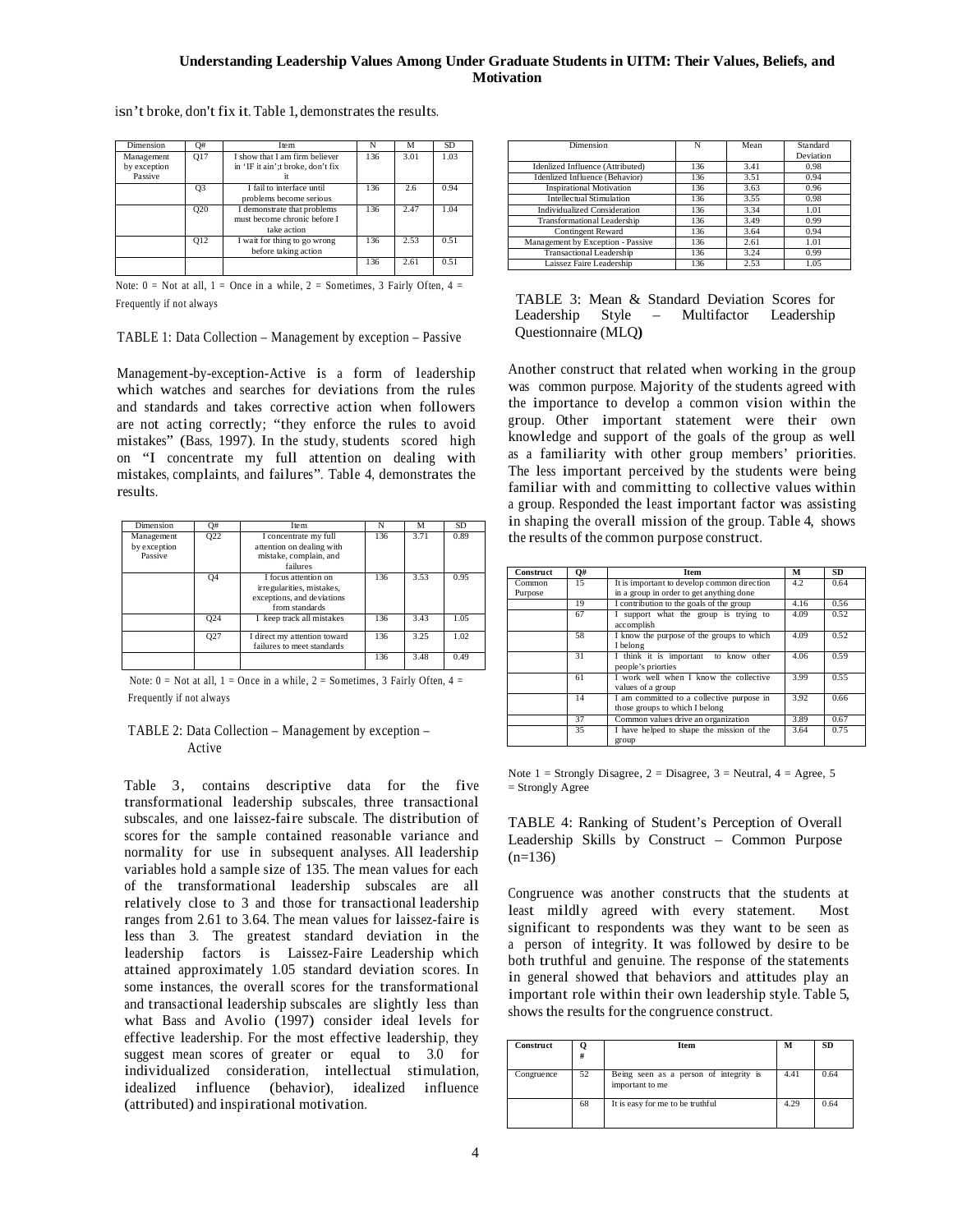## **Understanding Leadership Values Among Under Graduate Students in UITM: Their Values, Beliefs, and Motivation**

| Dimension                             | O#              | Item                                                                       | N   | м    | <b>SD</b> |
|---------------------------------------|-----------------|----------------------------------------------------------------------------|-----|------|-----------|
| Management<br>by exception<br>Passive | <b>Q17</b>      | I show that I am firm believer<br>in 'IF it ain'; t broke, don't fix       | 136 | 3.01 | 1.03      |
|                                       | Q <sub>3</sub>  | I fail to interface until<br>problems become serious                       | 136 | 2.6  | 0.94      |
|                                       | Q <sub>20</sub> | I demonstrate that problems<br>must become chronic before I<br>take action | 136 | 2.47 | 1.04      |
|                                       | O <sub>12</sub> | I wait for thing to go wrong<br>before taking action                       | 136 | 2.53 | 0.51      |
|                                       |                 |                                                                            | 136 | 2.61 | 0.51      |

isn't broke, don't fix it. Table 1, demonstrates the results.

Note:  $0 =$  Not at all,  $1 =$  Once in a while,  $2 =$  Sometimes, 3 Fairly Often,  $4 =$ Frequently if not always

TABLE 1: Data Collection – Management by exception – Passive

Management-by-exception-Active is <sup>a</sup> form of leadership which watches and searches for deviations from the rules and standards and takes corrective action when followers are not acting correctly; "they enforce the rules to avoid mistakes" (Bass, 1997). In the study, students scored high on "I concentrate my full attention on dealing with mistakes, complaints, and failures". Table 4, demonstrates the results.

| Dimension                             | O#         | Item                                                                                              | N   | м    | SD.  |
|---------------------------------------|------------|---------------------------------------------------------------------------------------------------|-----|------|------|
| Management<br>by exception<br>Passive | <b>Q22</b> | I concentrate my full<br>attention on dealing with<br>mistake, complain, and<br>failures          | 136 | 3.71 | 0.89 |
|                                       | <b>O4</b>  | I focus attention on<br>irregularities, mistakes,<br>exceptions, and deviations<br>from standards | 136 | 3.53 | 0.95 |
|                                       | Q24        | I keep track all mistakes                                                                         | 136 | 3.43 | 1.05 |
|                                       | Q27        | I direct my attention toward<br>failures to meet standards                                        | 136 | 3.25 | 1.02 |
|                                       |            |                                                                                                   | 136 | 3.48 | 0.49 |

Note:  $0 =$  Not at all,  $1 =$  Once in a while,  $2 =$  Sometimes, 3 Fairly Often,  $4 =$ Frequently if not always

#### TABLE 2: Data Collection – Management by exception – Active

Table 3, contains descriptive data for the five transformational leadership subscales, three transactional subscales, and one laissez-faire subscale. The distribution of scores for the sample contained reasonable variance and normality for use in subsequent analyses. All leadership variables hold <sup>a</sup> sample size of 135. The mean values for each of the transformational leadership subscales are all relatively close to 3 and those for transactional leadership ranges from 2.61 to 3.64. The mean values for laissez-faire is less than 3. The greatest standard deviation in the leadership factors is Laissez-Faire Leadership which attained approximately 1.05 standard deviation scores. In some instances, the overall scores for the transformational and transactional leadership subscales are slightly less than what Bass and Avolio (1997) consider ideal levels for effective leadership. For the most effective leadership, they suggest mean scores of greater or equal to 3.0 for individualized consideration, intellectual stimulation, idealized influence (behavior), idealized influence (attributed) and inspirational motivation.

| Dimension                           | N   | Mean | Standard<br>Deviation |
|-------------------------------------|-----|------|-----------------------|
| Idenlized Influence (Attributed)    | 136 | 3.41 | 0.98                  |
| Idenlized Influence (Behavior)      | 136 | 3.51 | 0.94                  |
| <b>Inspirational Motivation</b>     | 136 | 3.63 | 0.96                  |
| Intellectual Stimulation            | 136 | 3.55 | 0.98                  |
| <b>Individualized Consideration</b> | 136 | 3.34 | 1.01                  |
| Transformational Leadership         | 136 | 3.49 | 0.99                  |
| Contingent Reward                   | 136 | 3.64 | 0.94                  |
| Management by Exception - Passive   | 136 | 2.61 | 1.01                  |
| <b>Transactional Leadership</b>     | 136 | 3.24 | 0.99                  |
| Laissez Faire Leadership            | 136 | 2.53 | 1.05                  |

| TABLE 3: Mean & Standard Deviation Scores for |  |  |  |
|-----------------------------------------------|--|--|--|
| Leadership Style – Multifactor Leadership     |  |  |  |
| Questionnaire (MLO)                           |  |  |  |

Another construct that related when working in the group was common purpose. Majority of the students agreed with the importance to develop <sup>a</sup> common vision within the group. Other important statement were their own knowledge and support of the goals of the group as well as <sup>a</sup> familiarity with other group members' priorities. The less important perceived by the students were being familiar with and committing to collective values within <sup>a</sup> group. Responded the least important factor was assisting in shaping the overall mission of the group. Table 4, shows the results of the common purpose construct.

| <b>Construct</b>  | <b>O</b> # | <b>Item</b>                                                                             | М    | SD   |
|-------------------|------------|-----------------------------------------------------------------------------------------|------|------|
| Common<br>Purpose | 15         | It is important to develop common direction<br>in a group in order to get anything done | 4.2  | 0.64 |
|                   | 19         | I contribution to the goals of the group                                                | 4.16 | 0.56 |
|                   | 67         | I support what the group is trying to<br>accomplish                                     | 4.09 | 0.52 |
|                   | 58         | I know the purpose of the groups to which<br>I belong                                   | 4.09 | 0.52 |
|                   | 31         | I think it is important to know other<br>people's priorties                             | 4.06 | 0.59 |
|                   | 61         | I work well when I know the collective<br>values of a group                             | 3.99 | 0.55 |
|                   | 14         | I am committed to a collective purpose in<br>those groups to which I belong             | 3.92 | 0.66 |
|                   | 37         | Common values drive an organization                                                     | 3.89 | 0.67 |
|                   | 35         | I have helped to shape the mission of the<br>group                                      | 3.64 | 0.75 |

Note  $1 =$  Strongly Disagree,  $2 =$  Disagree,  $3 =$  Neutral,  $4 =$  Agree,  $5$ = Strongly Agree

TABLE 4: Ranking of Student's Perception of Overall Leadership Skills by Construct – Common Purpose  $(n=136)$ 

Congruence was another constructs that the students at least mildly agreed with every statement. Most significant to respondents was they want to be seen as <sup>a</sup> person of integrity. It was followed by desire to be both truthful and genuine. The response of the statements in general showed that behaviors and attitudes play an important role within their own leadership style. Table 5, shows the results forthe congruence construct.

| Construct  | #  | Item                                                      | м    | <b>SD</b> |
|------------|----|-----------------------------------------------------------|------|-----------|
| Congruence | 52 | Being seen as a person of integrity is<br>important to me | 4.41 | 0.64      |
|            | 68 | It is easy for me to be truthful                          | 4.29 | 0.64      |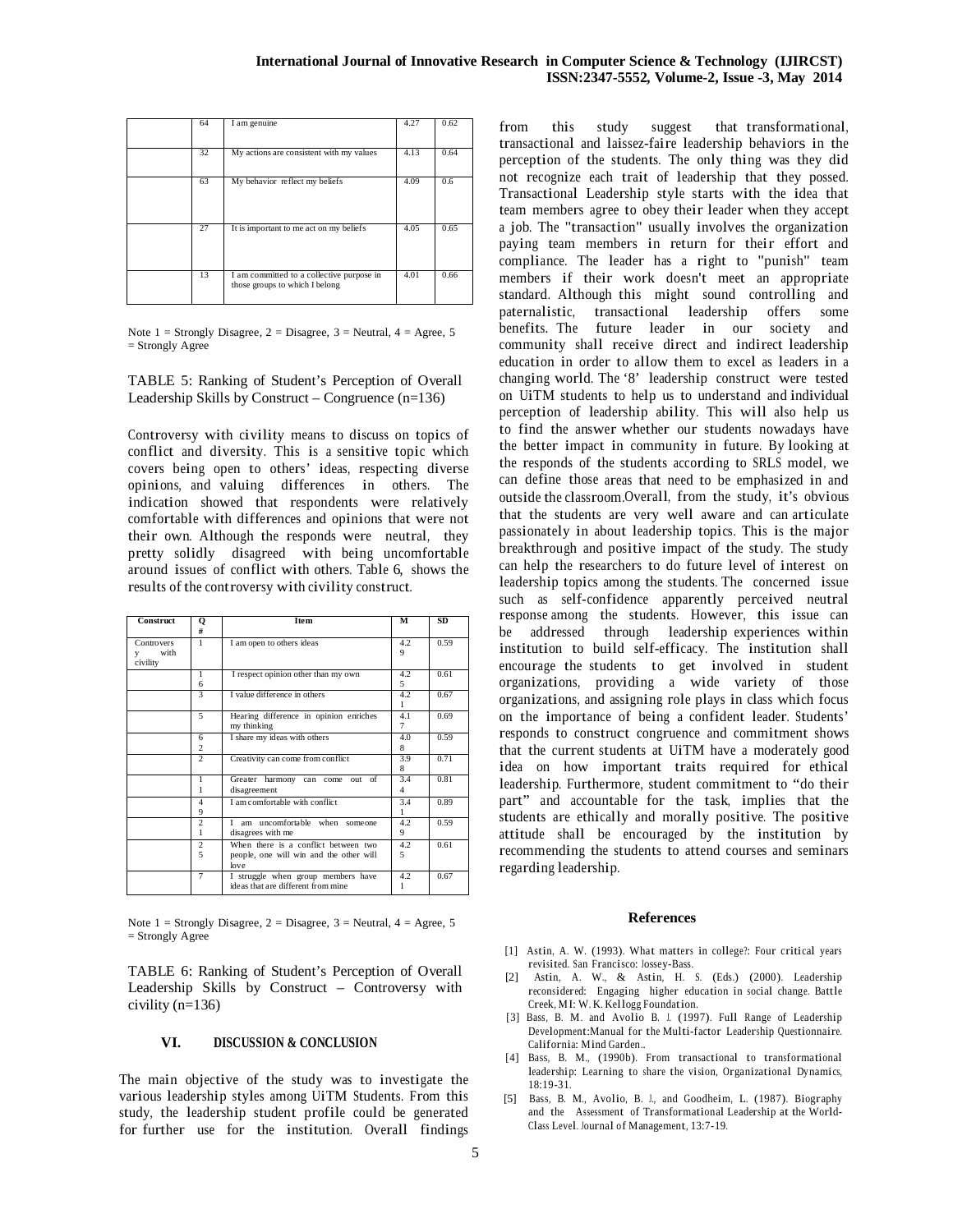| 64 | I am genuine                                                                | 4.27 | 0.62 |
|----|-----------------------------------------------------------------------------|------|------|
| 32 | My actions are consistent with my values                                    | 4.13 | 0.64 |
| 63 | My behavior reflect my beliefs                                              | 4.09 | 0.6  |
| 27 | It is important to me act on my beliefs                                     | 4.05 | 0.65 |
| 13 | I am committed to a collective purpose in<br>those groups to which I belong | 4.01 | 0.66 |

Note  $1 =$  Strongly Disagree,  $2 =$  Disagree,  $3 =$  Neutral,  $4 =$  Agree, 5 = Strongly Agree

TABLE 5: Ranking of Student's Perception of Overall Leadership Skills by Construct – Congruence (n=136)

Controversy with civility means to discuss on topics of conflict and diversity. This is a sensitive topic which covers being open to others' ideas, respecting diverse opinions, and valuing differences in others. The indication showed that respondents were relatively comfortable with differences and opinions that were not their own. Although the responds were neutral, they pretty solidly disagreed with being uncomfortable around issues of conflict with others. Table 6, shows the results of the controversy with civility construct.

| <b>Construct</b>                           | Q<br>#              | <b>Item</b>                                                                             | М                     | SD   |
|--------------------------------------------|---------------------|-----------------------------------------------------------------------------------------|-----------------------|------|
| <b>Controvers</b><br>with<br>v<br>civility | 1                   | I am open to others ideas                                                               | 4.2<br>9              | 0.59 |
|                                            | 1<br>6              | I respect opinion other than my own                                                     | 4.2<br>5.             | 0.61 |
|                                            | 3                   | I value difference in others                                                            | 4.2<br>1              | 0.67 |
|                                            | 5                   | Hearing difference in opinion enriches<br>my thinking                                   | 4.1<br>7              | 0.69 |
|                                            | 6<br>$\overline{c}$ | I share my ideas with others                                                            | 4.0<br>8              | 0.59 |
|                                            | 2                   | Creativity can come from conflict                                                       | 3.9<br>8              | 0.71 |
|                                            | 1<br>1              | Greater harmony can come out of<br>disagreement                                         | 3.4<br>$\overline{4}$ | 0.81 |
|                                            | $\overline{4}$<br>9 | I am comfortable with conflict                                                          | 3.4<br>1              | 0.89 |
|                                            | $\overline{c}$<br>1 | am uncomfortable when someone<br>г<br>disagrees with me                                 | 4.2<br>9              | 0.59 |
|                                            | $\overline{c}$<br>5 | When there is a conflict between two<br>people, one will win and the other will<br>love | 4.2<br>5              | 0.61 |
|                                            | 7                   | I struggle when group members have<br>ideas that are different from mine                | 4.2<br>1              | 0.67 |

Note  $1 =$  Strongly Disagree,  $2 =$  Disagree,  $3 =$  Neutral,  $4 =$  Agree,  $5$  $=$  Strongly Agree

TABLE 6: Ranking of Student's Perception of Overall Leadership Skills by Construct – Controversy with civility (n=136)

#### **VI. DISCUSSION & CONCLUSION**

The main objective of the study was to investigate the various leadership styles among UiTM Students. From this study, the leadership student profile could be generated for further use for the institution. Overall findings from this study suggest that transformational, transactional and laissez-faire leadership behaviors in the perception of the students. The only thing was they did not recognize each trait of leadership that they possed. Transactional Leadership style starts with the idea that team members agree to obey their leader when they accept <sup>a</sup> job. The "transaction" usually involves the organization paying team members in return for their effort and compliance. The leader has <sup>a</sup> right to "punish" team members if their work doesn't meet an appropriate standard. Although this might sound controlling and paternalistic, transactional leadership offers some benefits. The future leader in our society and community shall receive direct and indirect leadership education in order to allow them to excel as leaders in <sup>a</sup> changing world. The '8' leadership construct were tested on UiTM students to help us to understand and individual perception of leadership ability. This will also help us to find the answer whether our students nowadays have the better impact in community in future. By looking at the responds of the students according to SRLS model, we can define those areas that need to be emphasized in and outside the classroom.Overall, from the study, it's obvious that the students are very well aware and can articulate passionately in about leadership topics. This is the major breakthrough and positive impact of the study. The study can help the researchers to do future level of interest on leadership topics among the students. The concerned issue such as self-confidence apparently perceived neutral response among the students. However, this issue can be addressed through leadership experiences within institution to build self-efficacy. The institution shall encourage the students to get involved in student organizations, providing <sup>a</sup> wide variety of those organizations, and assigning role plays in class which focus on the importance of being a confident leader. Students' responds to construct congruence and commitment shows that the current students at UiTM have <sup>a</sup> moderately good idea on how important traits required for ethical leadership. Furthermore, student commitment to "do their part" and accountable for the task, implies that the students are ethically and morally positive. The positive attitude shall be encouraged by the institution by recommending the students to attend courses and seminars regarding leadership.

#### **References**

- [1] Astin, A. W. (1993). What matters in college?: Four critical years revisited. San Francisco: Jossey-Bass.
- [2] Astin, A. W., & Astin, H. S. (Eds.) (2000). Leadership reconsidered: Engaging higher education in social change. Battle Creek, MI: W. K. Kellogg Foundation.
- [3] Bass, B. M. and Avolio B. J. (1997). Full Range of Leadership Development:Manual for the Multi-factor Leadership Questionnaire. California: Mind Garden..
- [4] Bass, B. M., (1990b). From transactional to transformational leadership: Learning to share the vision, Organizational Dynamics,  $18.19 - 31$
- [5] Bass, B. M., Avolio, B. J., and Goodheim, L. (1987). Biography and the Assessment of Transformational Leadership at the World-Class Level. Journal of Management, 13:7-19.